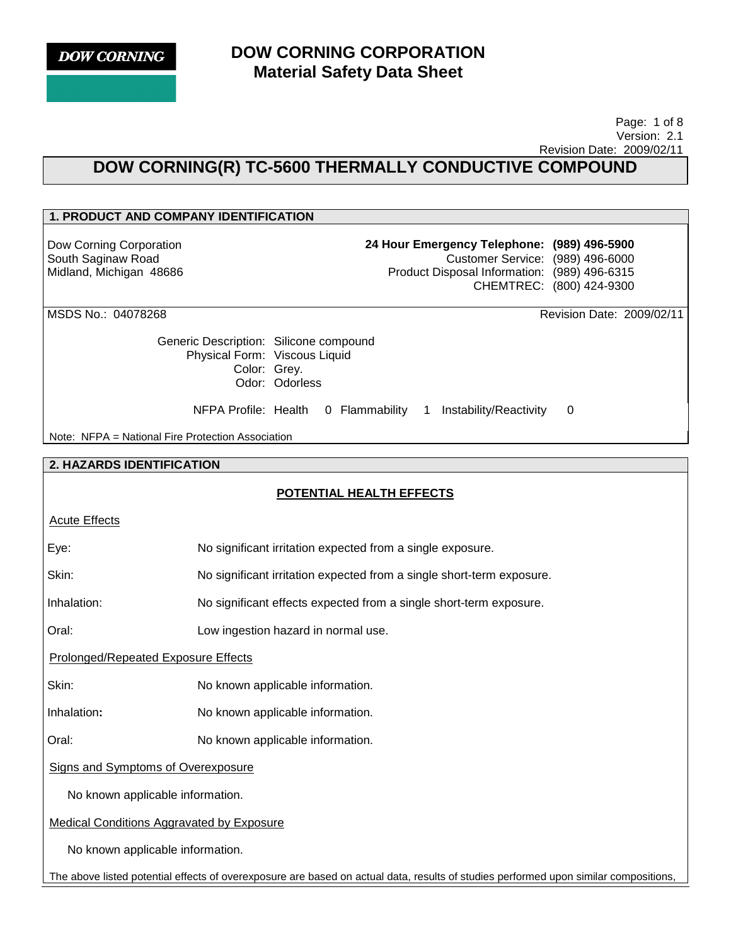

 Page: 1 of 8 Version: 2.1 Revision Date: 2009/02/11

# **DOW CORNING(R) TC-5600 THERMALLY CONDUCTIVE COMPOUND**

## **1. PRODUCT AND COMPANY IDENTIFICATION**

Dow Corning Corporation South Saginaw Road Midland, Michigan 48686 **24 Hour Emergency Telephone: (989) 496-5900** Customer Service: (989) 496-6000 Product Disposal Information: (989) 496-6315 CHEMTREC: (800) 424-9300

MSDS No.: 04078268 Revision Date: 2009/02/11

Generic Description: Silicone compound Physical Form: Viscous Liquid Color: Grey. Odor: Odorless

NFPA Profile: Health 0 Flammability 1 Instability/Reactivity 0

Note: NFPA = National Fire Protection Association

### **2. HAZARDS IDENTIFICATION**

## **POTENTIAL HEALTH EFFECTS**

| <b>Acute Effects</b> |
|----------------------|
|                      |

|      | No significant irritation expected from a single exposure. |
|------|------------------------------------------------------------|
| Eve: |                                                            |
|      |                                                            |
|      |                                                            |

Skin: No significant irritation expected from a single short-term exposure.

Inhalation: No significant effects expected from a single short-term exposure.

Oral: Low ingestion hazard in normal use.

Prolonged/Repeated Exposure Effects

Skin: No known applicable information.

Inhalation**:** No known applicable information.

Oral: No known applicable information.

Signs and Symptoms of Overexposure

No known applicable information.

Medical Conditions Aggravated by Exposure

No known applicable information.

The above listed potential effects of overexposure are based on actual data, results of studies performed upon similar compositions,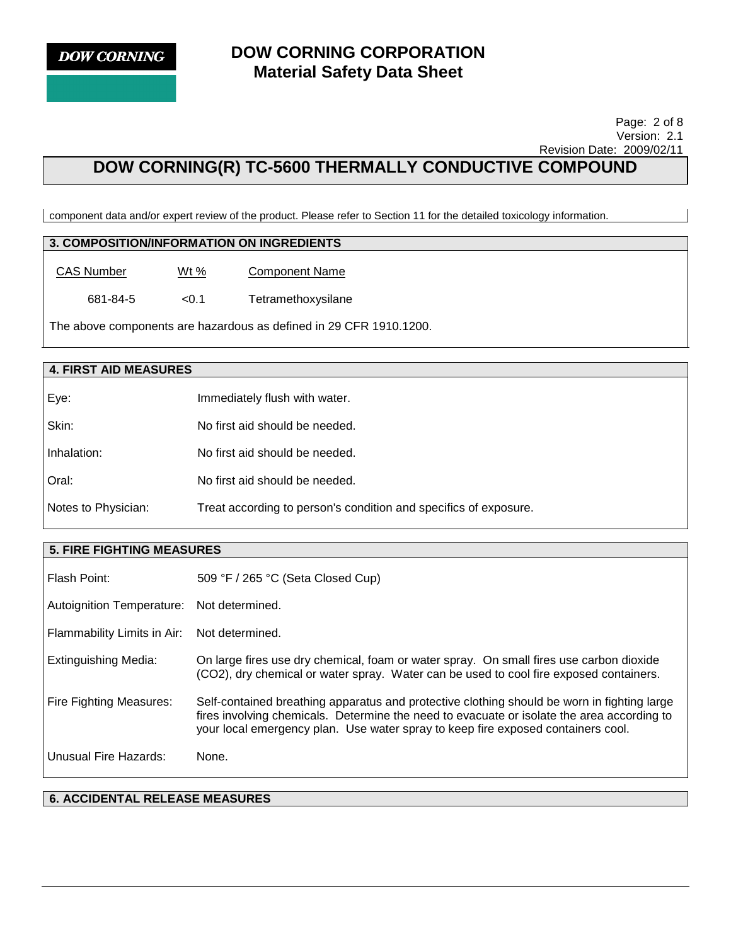

 Page: 2 of 8 Version: 2.1 Revision Date: 2009/02/11

# **DOW CORNING(R) TC-5600 THERMALLY CONDUCTIVE COMPOUND**

component data and/or expert review of the product. Please refer to Section 11 for the detailed toxicology information.

## **3. COMPOSITION/INFORMATION ON INGREDIENTS**

| CAS Number | Wt $%$ | <b>Component Name</b> |
|------------|--------|-----------------------|
|            |        |                       |

681-84-5 <0.1 Tetramethoxysilane

The above components are hazardous as defined in 29 CFR 1910.1200.

## **4. FIRST AID MEASURES**

| Eye:                | Immediately flush with water.                                    |
|---------------------|------------------------------------------------------------------|
| Skin:               | No first aid should be needed.                                   |
| Inhalation:         | No first aid should be needed.                                   |
| Oral:               | No first aid should be needed.                                   |
| Notes to Physician: | Treat according to person's condition and specifics of exposure. |

#### **5. FIRE FIGHTING MEASURES**

| Flash Point:                | 509 °F / 265 °C (Seta Closed Cup)                                                                                                                                                                                                                                             |
|-----------------------------|-------------------------------------------------------------------------------------------------------------------------------------------------------------------------------------------------------------------------------------------------------------------------------|
| Autoignition Temperature:   | Not determined.                                                                                                                                                                                                                                                               |
| Flammability Limits in Air: | Not determined.                                                                                                                                                                                                                                                               |
| Extinguishing Media:        | On large fires use dry chemical, foam or water spray. On small fires use carbon dioxide<br>(CO2), dry chemical or water spray. Water can be used to cool fire exposed containers.                                                                                             |
| Fire Fighting Measures:     | Self-contained breathing apparatus and protective clothing should be worn in fighting large<br>fires involving chemicals. Determine the need to evacuate or isolate the area according to<br>your local emergency plan. Use water spray to keep fire exposed containers cool. |
| Unusual Fire Hazards:       | None.                                                                                                                                                                                                                                                                         |

#### **6. ACCIDENTAL RELEASE MEASURES**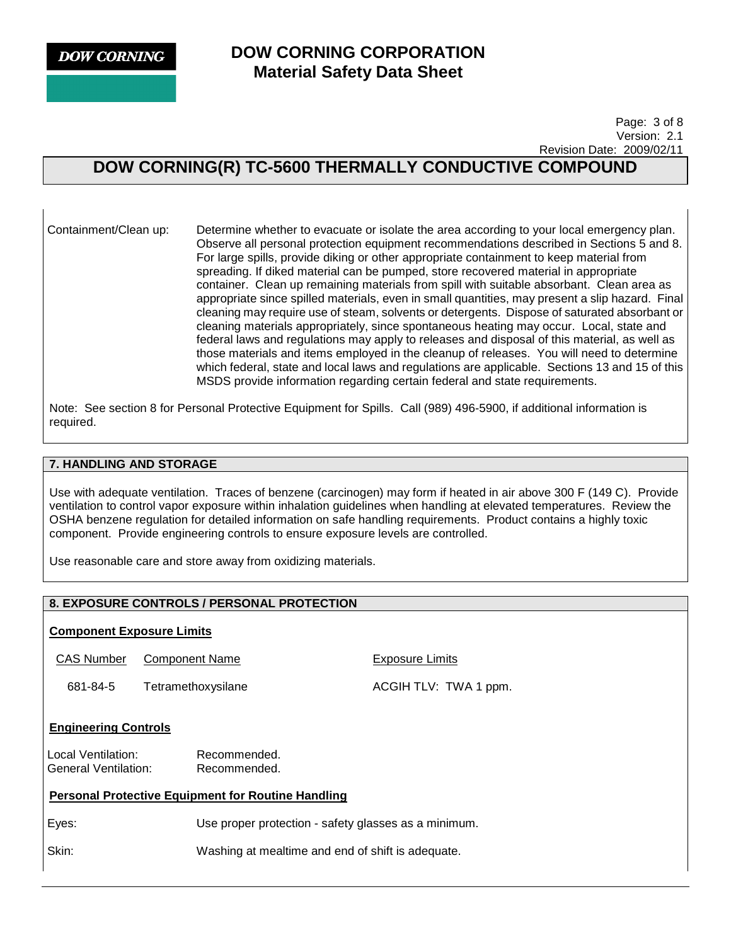**DOW CORNING** 

## **DOW CORNING CORPORATION Material Safety Data Sheet**

 Page: 3 of 8 Version: 2.1 Revision Date: 2009/02/11

# **DOW CORNING(R) TC-5600 THERMALLY CONDUCTIVE COMPOUND**

Containment/Clean up: Determine whether to evacuate or isolate the area according to your local emergency plan. Observe all personal protection equipment recommendations described in Sections 5 and 8. For large spills, provide diking or other appropriate containment to keep material from spreading. If diked material can be pumped, store recovered material in appropriate container. Clean up remaining materials from spill with suitable absorbant. Clean area as appropriate since spilled materials, even in small quantities, may present a slip hazard. Final cleaning may require use of steam, solvents or detergents. Dispose of saturated absorbant or cleaning materials appropriately, since spontaneous heating may occur. Local, state and federal laws and regulations may apply to releases and disposal of this material, as well as those materials and items employed in the cleanup of releases. You will need to determine which federal, state and local laws and regulations are applicable. Sections 13 and 15 of this MSDS provide information regarding certain federal and state requirements.

Note: See section 8 for Personal Protective Equipment for Spills. Call (989) 496-5900, if additional information is required.

## **7. HANDLING AND STORAGE**

Use with adequate ventilation. Traces of benzene (carcinogen) may form if heated in air above 300 F (149 C). Provide ventilation to control vapor exposure within inhalation guidelines when handling at elevated temperatures. Review the OSHA benzene regulation for detailed information on safe handling requirements. Product contains a highly toxic component. Provide engineering controls to ensure exposure levels are controlled.

Use reasonable care and store away from oxidizing materials.

## **8. EXPOSURE CONTROLS / PERSONAL PROTECTION**

#### **Component Exposure Limits**

CAS Number Component Name **EXPOSURG** Exposure Limits

681-84-5 Tetramethoxysilane ACGIH TLV: TWA 1 ppm.

#### **Engineering Controls**

Local Ventilation: Recommended. General Ventilation: Recommended.

## **Personal Protective Equipment for Routine Handling**

Eyes: Use proper protection - safety glasses as a minimum.

Skin: Washing at mealtime and end of shift is adequate.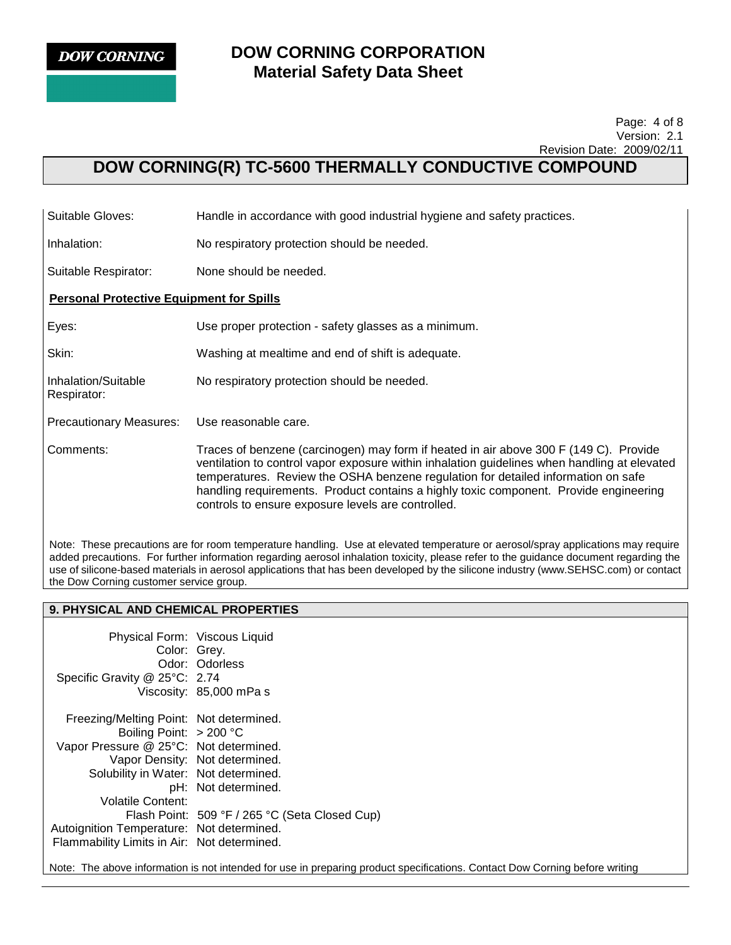

Respirator:

## **DOW CORNING CORPORATION Material Safety Data Sheet**

#### Page: 4 of 8 Version: 2.1 Revision Date: 2009/02/11

# **DOW CORNING(R) TC-5600 THERMALLY CONDUCTIVE COMPOUND**

Suitable Gloves: Handle in accordance with good industrial hygiene and safety practices.

Inhalation: No respiratory protection should be needed.

Suitable Respirator: None should be needed.

## **Personal Protective Equipment for Spills**

Eyes: Use proper protection - safety glasses as a minimum.

Skin: Washing at mealtime and end of shift is adequate.

Inhalation/Suitable No respiratory protection should be needed.

Precautionary Measures: Use reasonable care.

Comments: Traces of benzene (carcinogen) may form if heated in air above 300 F (149 C). Provide ventilation to control vapor exposure within inhalation guidelines when handling at elevated temperatures. Review the OSHA benzene regulation for detailed information on safe handling requirements. Product contains a highly toxic component. Provide engineering controls to ensure exposure levels are controlled.

Note: These precautions are for room temperature handling. Use at elevated temperature or aerosol/spray applications may require added precautions. For further information regarding aerosol inhalation toxicity, please refer to the guidance document regarding the use of silicone-based materials in aerosol applications that has been developed by the silicone industry (www.SEHSC.com) or contact the Dow Corning customer service group.

## **9. PHYSICAL AND CHEMICAL PROPERTIES**

| Physical Form: Viscous Liquid               |                                                |
|---------------------------------------------|------------------------------------------------|
| Color: Grey.                                |                                                |
|                                             | Odor: Odorless                                 |
| Specific Gravity @ 25°C: 2.74               |                                                |
|                                             | Viscosity: 85,000 mPa s                        |
| Freezing/Melting Point: Not determined.     |                                                |
| Boiling Point: $> 200$ °C                   |                                                |
| Vapor Pressure @ 25°C: Not determined.      |                                                |
|                                             | Vapor Density: Not determined.                 |
| Solubility in Water: Not determined.        |                                                |
|                                             | pH: Not determined.                            |
| Volatile Content:                           |                                                |
|                                             | Flash Point: 509 °F / 265 °C (Seta Closed Cup) |
| Autoignition Temperature: Not determined.   |                                                |
| Flammability Limits in Air: Not determined. |                                                |

Note: The above information is not intended for use in preparing product specifications. Contact Dow Corning before writing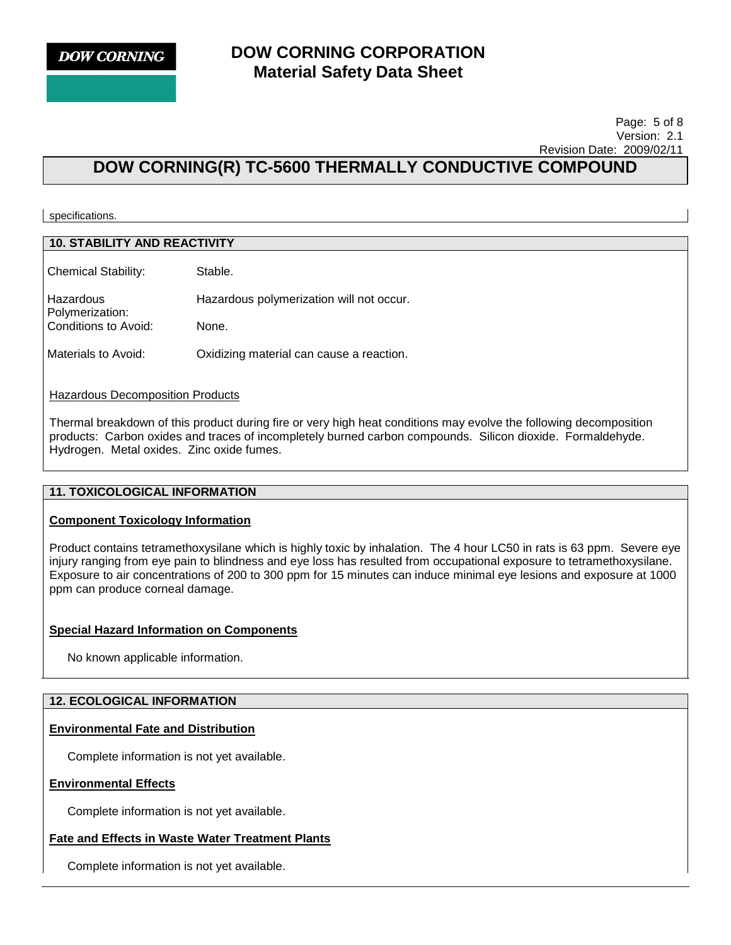

#### Page: 5 of 8 Version: 2.1 Revision Date: 2009/02/11

# **DOW CORNING(R) TC-5600 THERMALLY CONDUCTIVE COMPOUND**

specifications.

### **10. STABILITY AND REACTIVITY**

Chemical Stability: Stable. Hazardous Polymerization: Hazardous polymerization will not occur.

Conditions to Avoid: None.

Materials to Avoid: Oxidizing material can cause a reaction.

#### Hazardous Decomposition Products

Thermal breakdown of this product during fire or very high heat conditions may evolve the following decomposition products: Carbon oxides and traces of incompletely burned carbon compounds. Silicon dioxide. Formaldehyde. Hydrogen. Metal oxides. Zinc oxide fumes.

#### **11. TOXICOLOGICAL INFORMATION**

#### **Component Toxicology Information**

Product contains tetramethoxysilane which is highly toxic by inhalation. The 4 hour LC50 in rats is 63 ppm. Severe eye injury ranging from eye pain to blindness and eye loss has resulted from occupational exposure to tetramethoxysilane. Exposure to air concentrations of 200 to 300 ppm for 15 minutes can induce minimal eye lesions and exposure at 1000 ppm can produce corneal damage.

#### **Special Hazard Information on Components**

No known applicable information.

### **12. ECOLOGICAL INFORMATION**

#### **Environmental Fate and Distribution**

Complete information is not yet available.

## **Environmental Effects**

Complete information is not yet available.

#### **Fate and Effects in Waste Water Treatment Plants**

Complete information is not yet available.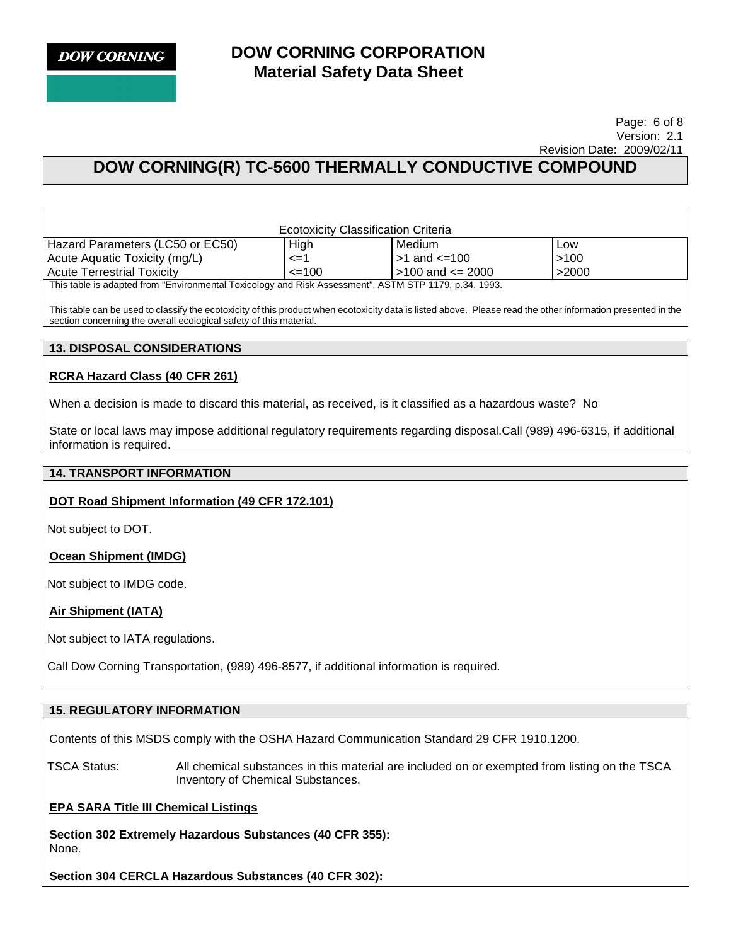#### Page: 6 of 8 Version: 2.1 Revision Date: 2009/02/11

# **DOW CORNING(R) TC-5600 THERMALLY CONDUCTIVE COMPOUND**

| <b>Ecotoxicity Classification Criteria</b>                                                            |              |                        |       |
|-------------------------------------------------------------------------------------------------------|--------------|------------------------|-------|
| Hazard Parameters (LC50 or EC50)                                                                      | <b>High</b>  | Medium                 | Low   |
| Acute Aquatic Toxicity (mg/L)                                                                         | –<=1         | $>1$ and $\leq 100$    | >100  |
| l Acute Terrestrial Toxicitv                                                                          | $\leq$ = 100 | $>100$ and $\leq$ 2000 | >2000 |
| This table is adapted from "Environmental Toxicology and Risk Assessment", ASTM STP 1179, p.34, 1993. |              |                        |       |

This table can be used to classify the ecotoxicity of this product when ecotoxicity data is listed above. Please read the other information presented in the section concerning the overall ecological safety of this material.

## **13. DISPOSAL CONSIDERATIONS**

## **RCRA Hazard Class (40 CFR 261)**

When a decision is made to discard this material, as received, is it classified as a hazardous waste? No

State or local laws may impose additional regulatory requirements regarding disposal.Call (989) 496-6315, if additional information is required.

#### **14. TRANSPORT INFORMATION**

#### **DOT Road Shipment Information (49 CFR 172.101)**

Not subject to DOT.

## **Ocean Shipment (IMDG)**

Not subject to IMDG code.

## **Air Shipment (IATA)**

Not subject to IATA regulations.

Call Dow Corning Transportation, (989) 496-8577, if additional information is required.

## **15. REGULATORY INFORMATION**

Contents of this MSDS comply with the OSHA Hazard Communication Standard 29 CFR 1910.1200.

TSCA Status: All chemical substances in this material are included on or exempted from listing on the TSCA Inventory of Chemical Substances.

## **EPA SARA Title III Chemical Listings**

**Section 302 Extremely Hazardous Substances (40 CFR 355):**  None.

**Section 304 CERCLA Hazardous Substances (40 CFR 302):**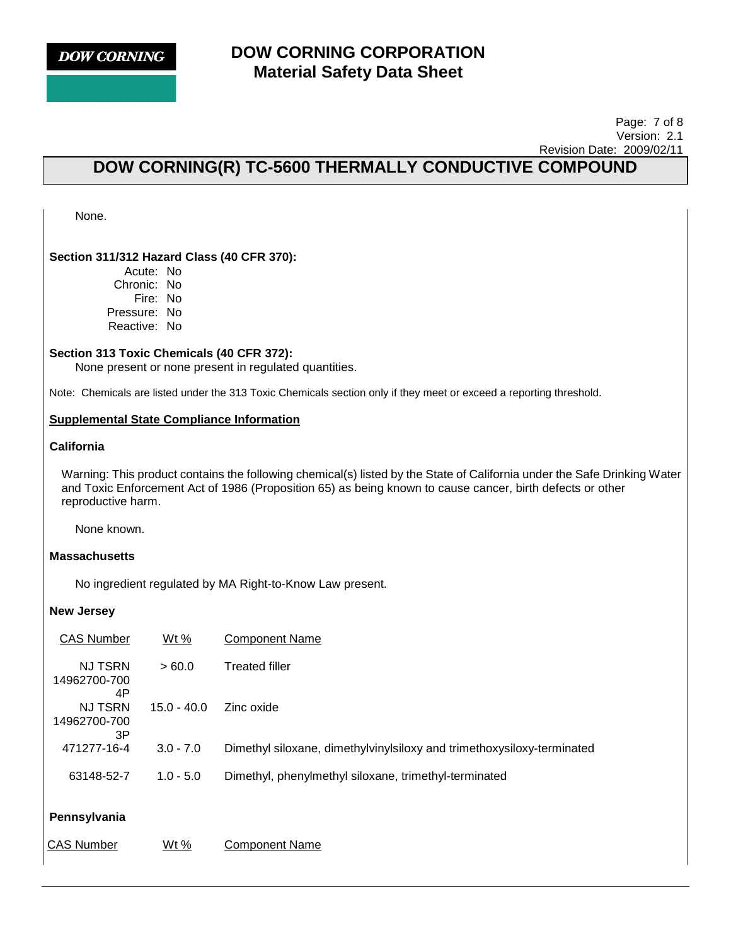

#### Page: 7 of 8 Version: 2.1 Revision Date: 2009/02/11

# **DOW CORNING(R) TC-5600 THERMALLY CONDUCTIVE COMPOUND**

None.

### **Section 311/312 Hazard Class (40 CFR 370):**

Acute: No Chronic: No Fire: No Pressure: No Reactive: No

#### **Section 313 Toxic Chemicals (40 CFR 372):**

None present or none present in regulated quantities.

Note: Chemicals are listed under the 313 Toxic Chemicals section only if they meet or exceed a reporting threshold.

#### **Supplemental State Compliance Information**

## **California**

Warning: This product contains the following chemical(s) listed by the State of California under the Safe Drinking Water and Toxic Enforcement Act of 1986 (Proposition 65) as being known to cause cancer, birth defects or other reproductive harm.

None known.

#### **Massachusetts**

No ingredient regulated by MA Right-to-Know Law present.

#### **New Jersey**

| <b>CAS Number</b>                    | Wt %          | <b>Component Name</b>                                                  |
|--------------------------------------|---------------|------------------------------------------------------------------------|
| <b>NJ TSRN</b><br>14962700-700<br>4P | >60.0         | <b>Treated filler</b>                                                  |
| <b>NJ TSRN</b><br>14962700-700<br>3P | $15.0 - 40.0$ | Zinc oxide                                                             |
| 471277-16-4                          | $3.0 - 7.0$   | Dimethyl siloxane, dimethylvinylsiloxy and trimethoxysiloxy-terminated |
| 63148-52-7                           | $1.0 - 5.0$   | Dimethyl, phenylmethyl siloxane, trimethyl-terminated                  |
| Pennsylvania                         |               |                                                                        |

CAS Number Wt% Component Name